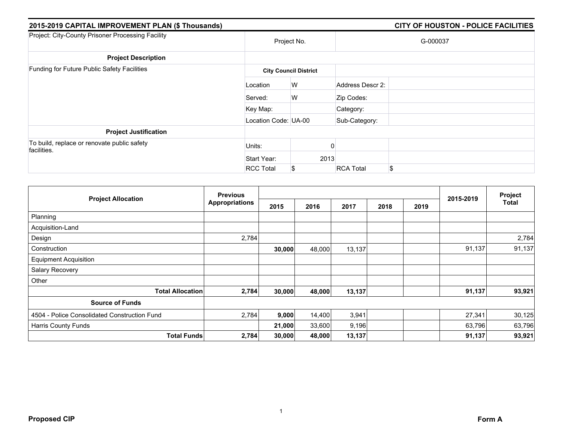| 2015-2019 CAPITAL IMPROVEMENT PLAN (\$ Thousands)          |                      |                              |                  | <b>CITY OF HOUSTON - POLICE FACILITIES</b> |
|------------------------------------------------------------|----------------------|------------------------------|------------------|--------------------------------------------|
| Project: City-County Prisoner Processing Facility          |                      | Project No.                  |                  | G-000037                                   |
| <b>Project Description</b>                                 |                      |                              |                  |                                            |
| Funding for Future Public Safety Facilities                |                      | <b>City Council District</b> |                  |                                            |
|                                                            | Location             | W                            | Address Descr 2: |                                            |
|                                                            | Served:              | W                            | Zip Codes:       |                                            |
|                                                            | Key Map:             |                              | Category:        |                                            |
|                                                            | Location Code: UA-00 |                              | Sub-Category:    |                                            |
| <b>Project Justification</b>                               |                      |                              |                  |                                            |
| To build, replace or renovate public safety<br>facilities. | Units:               |                              |                  |                                            |
|                                                            | Start Year:          | 2013                         |                  |                                            |
|                                                            | <b>RCC Total</b>     | \$                           | <b>RCA Total</b> | \$                                         |

|                                              | <b>Previous</b>       |        |        |        |      | Project |           |        |
|----------------------------------------------|-----------------------|--------|--------|--------|------|---------|-----------|--------|
| <b>Project Allocation</b>                    | <b>Appropriations</b> | 2015   | 2016   | 2017   | 2018 | 2019    | 2015-2019 | Total  |
| Planning                                     |                       |        |        |        |      |         |           |        |
| Acquisition-Land                             |                       |        |        |        |      |         |           |        |
| Design                                       | 2,784                 |        |        |        |      |         |           | 2,784  |
| Construction                                 |                       | 30,000 | 48,000 | 13,137 |      |         | 91,137    | 91,137 |
| <b>Equipment Acquisition</b>                 |                       |        |        |        |      |         |           |        |
| Salary Recovery                              |                       |        |        |        |      |         |           |        |
| Other                                        |                       |        |        |        |      |         |           |        |
| <b>Total Allocation</b>                      | 2,784                 | 30,000 | 48,000 | 13,137 |      |         | 91,137    | 93,921 |
| <b>Source of Funds</b>                       |                       |        |        |        |      |         |           |        |
| 4504 - Police Consolidated Construction Fund | 2,784                 | 9,000  | 14,400 | 3,941  |      |         | 27,341    | 30,125 |
| Harris County Funds                          |                       | 21,000 | 33,600 | 9,196  |      |         | 63,796    | 63,796 |
| <b>Total Funds</b>                           | 2,784                 | 30,000 | 48,000 | 13,137 |      |         | 91,137    | 93,921 |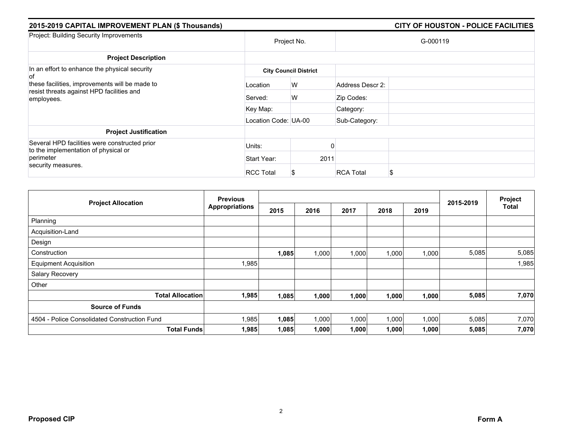| 2015-2019 CAPITAL IMPROVEMENT PLAN (\$ Thousands)                                                                        |                              |             |                  | <b>CITY OF HOUSTON - POLICE FACILITIES</b> |  |  |  |  |
|--------------------------------------------------------------------------------------------------------------------------|------------------------------|-------------|------------------|--------------------------------------------|--|--|--|--|
| Project: Building Security Improvements                                                                                  |                              | Project No. |                  | G-000119                                   |  |  |  |  |
| <b>Project Description</b>                                                                                               |                              |             |                  |                                            |  |  |  |  |
| In an effort to enhance the physical security<br>'of                                                                     | <b>City Council District</b> |             |                  |                                            |  |  |  |  |
| these facilities, improvements will be made to<br>resist threats against HPD facilities and<br>employees.                | Location                     | W           | Address Descr 2: |                                            |  |  |  |  |
|                                                                                                                          | Served:                      | W           | Zip Codes:       |                                            |  |  |  |  |
|                                                                                                                          | Key Map:                     |             | Category:        |                                            |  |  |  |  |
|                                                                                                                          | Location Code: UA-00         |             | Sub-Category:    |                                            |  |  |  |  |
| <b>Project Justification</b>                                                                                             |                              |             |                  |                                            |  |  |  |  |
| Several HPD facilities were constructed prior<br>to the implementation of physical or<br>perimeter<br>security measures. | Units:                       |             |                  |                                            |  |  |  |  |
|                                                                                                                          | Start Year:                  | 2011        |                  |                                            |  |  |  |  |
|                                                                                                                          | <b>RCC Total</b>             |             | <b>RCA Total</b> | S                                          |  |  |  |  |

|                                              | <b>Previous</b>       |       |       |       | 2015-2019 | Project |       |       |
|----------------------------------------------|-----------------------|-------|-------|-------|-----------|---------|-------|-------|
| <b>Project Allocation</b>                    | <b>Appropriations</b> | 2015  | 2016  | 2017  | 2018      | 2019    |       | Total |
| Planning                                     |                       |       |       |       |           |         |       |       |
| Acquisition-Land                             |                       |       |       |       |           |         |       |       |
| Design                                       |                       |       |       |       |           |         |       |       |
| Construction                                 |                       | 1,085 | 1,000 | 1,000 | 1,000     | 1,000   | 5,085 | 5,085 |
| <b>Equipment Acquisition</b>                 | 1,985                 |       |       |       |           |         |       | 1,985 |
| Salary Recovery                              |                       |       |       |       |           |         |       |       |
| Other                                        |                       |       |       |       |           |         |       |       |
| <b>Total Allocation</b>                      | 1,985                 | 1,085 | 1,000 | 1,000 | 1,000     | 1,000   | 5,085 | 7,070 |
| <b>Source of Funds</b>                       |                       |       |       |       |           |         |       |       |
| 4504 - Police Consolidated Construction Fund | 1,985                 | 1,085 | 1,000 | 1,000 | 1,000     | 1,000   | 5,085 | 7,070 |
| <b>Total Funds</b>                           | 1,985                 | 1,085 | 1,000 | 1,000 | 1,000     | 1,000   | 5,085 | 7,070 |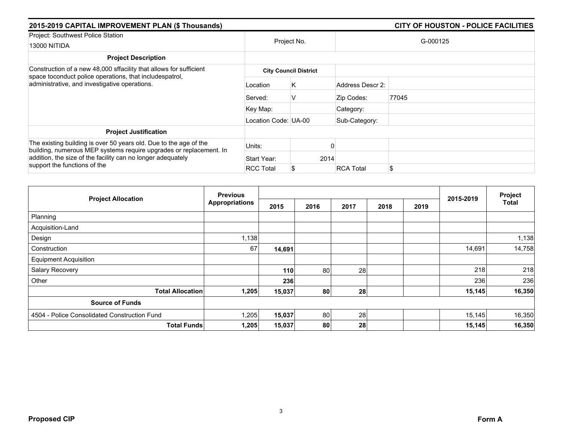| 2015-2019 CAPITAL IMPROVEMENT PLAN (\$ Thousands)                                                                                                                                                      |                      |                              |                  | <b>CITY OF HOUSTON - POLICE FACILITIES</b> |  |  |  |  |
|--------------------------------------------------------------------------------------------------------------------------------------------------------------------------------------------------------|----------------------|------------------------------|------------------|--------------------------------------------|--|--|--|--|
| Project: Southwest Police Station<br><b>13000 NITIDA</b>                                                                                                                                               |                      | Project No.                  |                  | G-000125                                   |  |  |  |  |
| <b>Project Description</b>                                                                                                                                                                             |                      |                              |                  |                                            |  |  |  |  |
| Construction of a new 48,000 sffacility that allows for sufficient<br>space toconduct police operations, that includespatrol,                                                                          |                      | <b>City Council District</b> |                  |                                            |  |  |  |  |
| administrative, and investigative operations.                                                                                                                                                          | Location             | K.                           | Address Descr 2: |                                            |  |  |  |  |
|                                                                                                                                                                                                        | Served:              | v                            | Zip Codes:       | 77045                                      |  |  |  |  |
|                                                                                                                                                                                                        | Key Map:             |                              | Category:        |                                            |  |  |  |  |
|                                                                                                                                                                                                        | Location Code: UA-00 |                              | Sub-Category:    |                                            |  |  |  |  |
| <b>Project Justification</b>                                                                                                                                                                           |                      |                              |                  |                                            |  |  |  |  |
| The existing building is over 50 years old. Due to the age of the<br>building, numerous MEP systems require upgrades or replacement. In<br>addition, the size of the facility can no longer adequately | Units:               |                              |                  |                                            |  |  |  |  |
|                                                                                                                                                                                                        | Start Year:          |                              | 2014             |                                            |  |  |  |  |
| support the functions of the                                                                                                                                                                           | <b>RCC Total</b>     |                              | <b>RCA Total</b> | \$                                         |  |  |  |  |

|                                              | <b>Previous</b>       |        |      |      |      |      |           | Project      |
|----------------------------------------------|-----------------------|--------|------|------|------|------|-----------|--------------|
| <b>Project Allocation</b>                    | <b>Appropriations</b> | 2015   | 2016 | 2017 | 2018 | 2019 | 2015-2019 | <b>Total</b> |
| Planning                                     |                       |        |      |      |      |      |           |              |
| Acquisition-Land                             |                       |        |      |      |      |      |           |              |
| Design                                       | 1,138                 |        |      |      |      |      |           | 1,138        |
| Construction                                 | 67                    | 14,691 |      |      |      |      | 14,691    | 14,758       |
| <b>Equipment Acquisition</b>                 |                       |        |      |      |      |      |           |              |
| Salary Recovery                              |                       | 110    | 80   | 28   |      |      | 218       | 218          |
| Other                                        |                       | 236    |      |      |      |      | 236       | 236          |
| <b>Total Allocation</b>                      | 1,205                 | 15,037 | 80   | 28   |      |      | 15,145    | 16,350       |
| <b>Source of Funds</b>                       |                       |        |      |      |      |      |           |              |
| 4504 - Police Consolidated Construction Fund | 1,205                 | 15,037 | 80   | 28   |      |      | 15,145    | 16,350       |
| <b>Total Funds</b>                           | 1,205                 | 15,037 | 80   | 28   |      |      | 15,145    | 16,350       |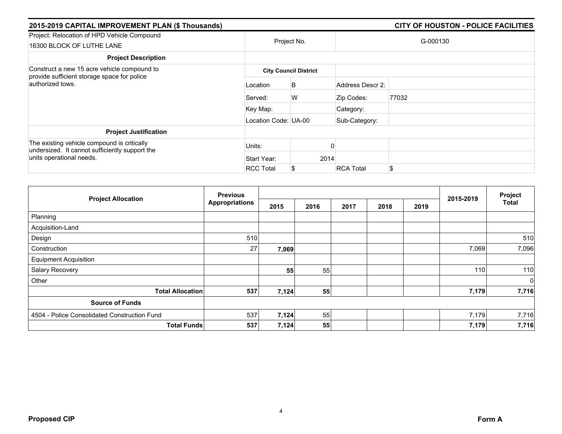| 2015-2019 CAPITAL IMPROVEMENT PLAN (\$ Thousands)                                                                         |                              |                       |                  | <b>CITY OF HOUSTON - POLICE FACILITIES</b> |  |  |  |  |
|---------------------------------------------------------------------------------------------------------------------------|------------------------------|-----------------------|------------------|--------------------------------------------|--|--|--|--|
| Project: Relocation of HPD Vehicle Compound<br>16300 BLOCK OF LUTHE LANE                                                  |                              | Project No.           |                  | G-000130                                   |  |  |  |  |
| <b>Project Description</b>                                                                                                |                              |                       |                  |                                            |  |  |  |  |
| Construct a new 15 acre vehicle compound to                                                                               | <b>City Council District</b> |                       |                  |                                            |  |  |  |  |
| provide sufficient storage space for police<br>authorized tows.                                                           | Location                     | B                     | Address Descr 2: |                                            |  |  |  |  |
|                                                                                                                           | Served:                      | W                     | Zip Codes:       | 77032                                      |  |  |  |  |
|                                                                                                                           | Key Map:                     |                       | Category:        |                                            |  |  |  |  |
|                                                                                                                           | Location Code: UA-00         |                       | Sub-Category:    |                                            |  |  |  |  |
| <b>Project Justification</b>                                                                                              |                              |                       |                  |                                            |  |  |  |  |
| The existing vehicle compound is critically<br>undersized. It cannot sufficiently support the<br>units operational needs. | Units:                       |                       |                  |                                            |  |  |  |  |
|                                                                                                                           | Start Year:                  | 2014                  |                  |                                            |  |  |  |  |
|                                                                                                                           | <b>RCC Total</b>             | <b>RCA Total</b><br>S |                  | \$                                         |  |  |  |  |

| <b>Project Allocation</b>                    | <b>Previous</b>       |       |      |      |      |      |           | Project      |
|----------------------------------------------|-----------------------|-------|------|------|------|------|-----------|--------------|
|                                              | <b>Appropriations</b> | 2015  | 2016 | 2017 | 2018 | 2019 | 2015-2019 | <b>Total</b> |
| Planning                                     |                       |       |      |      |      |      |           |              |
| Acquisition-Land                             |                       |       |      |      |      |      |           |              |
| Design                                       | 510                   |       |      |      |      |      |           | 510          |
| Construction                                 | 27                    | 7,069 |      |      |      |      | 7,069     | 7,096        |
| <b>Equipment Acquisition</b>                 |                       |       |      |      |      |      |           |              |
| Salary Recovery                              |                       | 55    | 55   |      |      |      | 110       | 110          |
| Other                                        |                       |       |      |      |      |      |           | 0            |
| <b>Total Allocation</b>                      | 537                   | 7,124 | 55   |      |      |      | 7,179     | 7,716        |
| <b>Source of Funds</b>                       |                       |       |      |      |      |      |           |              |
| 4504 - Police Consolidated Construction Fund | 537                   | 7,124 | 55   |      |      |      | 7,179     | 7,716        |
| <b>Total Funds</b>                           | 537                   | 7,124 | 55   |      |      |      | 7,179     | 7,716        |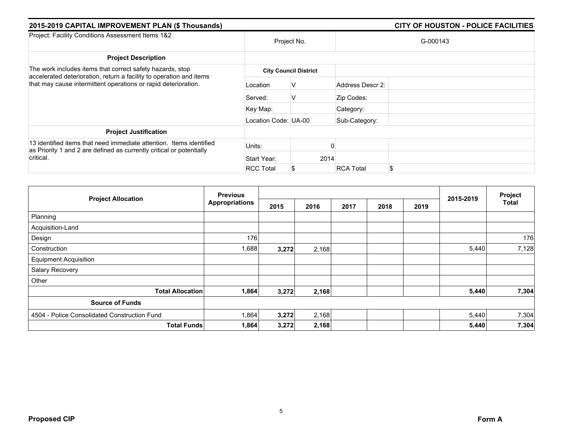| 2015-2019 CAPITAL IMPROVEMENT PLAN (\$ Thousands)                                                                                                                                                  |                      |                              |                  | <b>CITY OF HOUSTON - POLICE FACILITIES</b> |
|----------------------------------------------------------------------------------------------------------------------------------------------------------------------------------------------------|----------------------|------------------------------|------------------|--------------------------------------------|
| Project: Facility Conditions Assessment Items 1&2                                                                                                                                                  |                      | Project No.                  |                  | G-000143                                   |
| <b>Project Description</b>                                                                                                                                                                         |                      |                              |                  |                                            |
| The work includes items that correct safety hazards, stop<br>accelerated deterioration, return a facility to operation and items<br>that may cause intermittent operations or rapid deterioration. |                      | <b>City Council District</b> |                  |                                            |
|                                                                                                                                                                                                    | Location             | V                            | Address Descr 2: |                                            |
|                                                                                                                                                                                                    | Served:              | V                            | Zip Codes:       |                                            |
|                                                                                                                                                                                                    | Key Map:             |                              | Category:        |                                            |
|                                                                                                                                                                                                    | Location Code: UA-00 |                              | Sub-Category:    |                                            |
| <b>Project Justification</b>                                                                                                                                                                       |                      |                              |                  |                                            |
| 13 identified items that need immediate attention. Items identified<br>as Priority 1 and 2 are defined as currently critical or potentially<br>critical.                                           | Units:               |                              |                  |                                            |
|                                                                                                                                                                                                    | Start Year:          | 2014                         |                  |                                            |
|                                                                                                                                                                                                    | <b>RCC Total</b>     |                              | <b>RCA Total</b> | \$                                         |

| <b>Project Allocation</b>                    | <b>Previous</b>       |       |       |      |      |      |           | Project |
|----------------------------------------------|-----------------------|-------|-------|------|------|------|-----------|---------|
|                                              | <b>Appropriations</b> | 2015  | 2016  | 2017 | 2018 | 2019 | 2015-2019 | Total   |
| Planning                                     |                       |       |       |      |      |      |           |         |
| Acquisition-Land                             |                       |       |       |      |      |      |           |         |
| Design                                       | 176                   |       |       |      |      |      |           | 176     |
| Construction                                 | 1,688                 | 3,272 | 2,168 |      |      |      | 5,440     | 7,128   |
| <b>Equipment Acquisition</b>                 |                       |       |       |      |      |      |           |         |
| Salary Recovery                              |                       |       |       |      |      |      |           |         |
| Other                                        |                       |       |       |      |      |      |           |         |
| <b>Total Allocation</b>                      | 1,864                 | 3,272 | 2,168 |      |      |      | 5,440     | 7,304   |
| <b>Source of Funds</b>                       |                       |       |       |      |      |      |           |         |
| 4504 - Police Consolidated Construction Fund | 1,864                 | 3,272 | 2,168 |      |      |      | 5,440     | 7,304   |
| <b>Total Funds</b>                           | 1,864                 | 3,272 | 2,168 |      |      |      | 5,440     | 7,304   |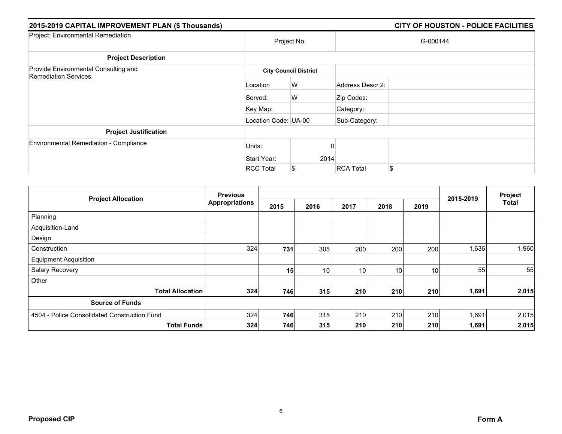| 2015-2019 CAPITAL IMPROVEMENT PLAN (\$ Thousands)                   |                      |                              |                  | <b>CITY OF HOUSTON - POLICE FACILITIES</b> |
|---------------------------------------------------------------------|----------------------|------------------------------|------------------|--------------------------------------------|
| Project: Environmental Remediation                                  |                      | Project No.                  |                  | G-000144                                   |
| <b>Project Description</b>                                          |                      |                              |                  |                                            |
| Provide Environmental Consulting and<br><b>Remediation Services</b> |                      | <b>City Council District</b> |                  |                                            |
|                                                                     | Location             | W                            | Address Descr 2: |                                            |
|                                                                     | Served:              | W                            | Zip Codes:       |                                            |
|                                                                     | Key Map:             |                              | Category:        |                                            |
|                                                                     | Location Code: UA-00 |                              | Sub-Category:    |                                            |
| <b>Project Justification</b>                                        |                      |                              |                  |                                            |
| <b>Environmental Remediation - Compliance</b>                       | Units:               |                              |                  |                                            |
|                                                                     | Start Year:          | 2014                         |                  |                                            |
|                                                                     | <b>RCC Total</b>     | S                            | <b>RCA Total</b> | \$                                         |

|                                              | <b>Previous</b>       |      |                 |                 |      |                 |           | Project      |
|----------------------------------------------|-----------------------|------|-----------------|-----------------|------|-----------------|-----------|--------------|
| <b>Project Allocation</b>                    | <b>Appropriations</b> | 2015 | 2016            | 2017            | 2018 | 2019            | 2015-2019 | <b>Total</b> |
| Planning                                     |                       |      |                 |                 |      |                 |           |              |
| Acquisition-Land                             |                       |      |                 |                 |      |                 |           |              |
| Design                                       |                       |      |                 |                 |      |                 |           |              |
| Construction                                 | 324                   | 731  | 305             | 200             | 200  | 200             | 1,636     | 1,960        |
| <b>Equipment Acquisition</b>                 |                       |      |                 |                 |      |                 |           |              |
| <b>Salary Recovery</b>                       |                       | 15   | 10 <sub>1</sub> | 10 <sup>1</sup> | 10   | 10 <sup>1</sup> | 55        | 55           |
| Other                                        |                       |      |                 |                 |      |                 |           |              |
| <b>Total Allocation</b>                      | 324                   | 746  | 315             | 210             | 210  | 210             | 1,691     | 2,015        |
| <b>Source of Funds</b>                       |                       |      |                 |                 |      |                 |           |              |
| 4504 - Police Consolidated Construction Fund | 324                   | 746  | 315             | 210             | 210  | 210             | 1,691     | 2,015        |
| <b>Total Funds</b>                           | 324                   | 746  | 315             | 210             | 210  | 210             | 1,691     | 2,015        |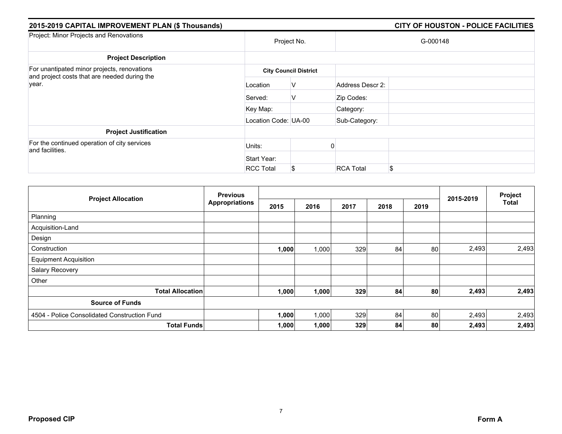| 2015-2019 CAPITAL IMPROVEMENT PLAN (\$ Thousands)                                                    |                      |                              |                  | <b>CITY OF HOUSTON - POLICE FACILITIES</b> |
|------------------------------------------------------------------------------------------------------|----------------------|------------------------------|------------------|--------------------------------------------|
| Project: Minor Projects and Renovations                                                              |                      | Project No.                  |                  | G-000148                                   |
| <b>Project Description</b>                                                                           |                      |                              |                  |                                            |
| For unantipated minor projects, renovations<br>and project costs that are needed during the<br>year. |                      | <b>City Council District</b> |                  |                                            |
|                                                                                                      | Location             | v                            | Address Descr 2: |                                            |
|                                                                                                      | Served:              | v                            | Zip Codes:       |                                            |
|                                                                                                      | Key Map:             |                              | Category:        |                                            |
|                                                                                                      | Location Code: UA-00 |                              | Sub-Category:    |                                            |
| <b>Project Justification</b>                                                                         |                      |                              |                  |                                            |
| For the continued operation of city services<br>and facilities.                                      | Units:               |                              |                  |                                            |
|                                                                                                      | Start Year:          |                              |                  |                                            |
|                                                                                                      | <b>RCC Total</b>     | \$                           | <b>RCA Total</b> | \$                                         |

|                                              | <b>Previous</b><br><b>Appropriations</b> |       |       |      |      | Project |           |              |
|----------------------------------------------|------------------------------------------|-------|-------|------|------|---------|-----------|--------------|
| <b>Project Allocation</b>                    |                                          | 2015  | 2016  | 2017 | 2018 | 2019    | 2015-2019 | <b>Total</b> |
| Planning                                     |                                          |       |       |      |      |         |           |              |
| Acquisition-Land                             |                                          |       |       |      |      |         |           |              |
| Design                                       |                                          |       |       |      |      |         |           |              |
| Construction                                 |                                          | 1,000 | 1,000 | 329  | 84   | 80      | 2,493     | 2,493        |
| <b>Equipment Acquisition</b>                 |                                          |       |       |      |      |         |           |              |
| Salary Recovery                              |                                          |       |       |      |      |         |           |              |
| Other                                        |                                          |       |       |      |      |         |           |              |
| <b>Total Allocation</b>                      |                                          | 1,000 | 1,000 | 329  | 84   | 80      | 2,493     | 2,493        |
| <b>Source of Funds</b>                       |                                          |       |       |      |      |         |           |              |
| 4504 - Police Consolidated Construction Fund |                                          | 1,000 | 1,000 | 329  | 84   | 80      | 2,493     | 2,493        |
| <b>Total Funds</b>                           |                                          | 1,000 | 1,000 | 329  | 84   | 80      | 2,493     | 2,493        |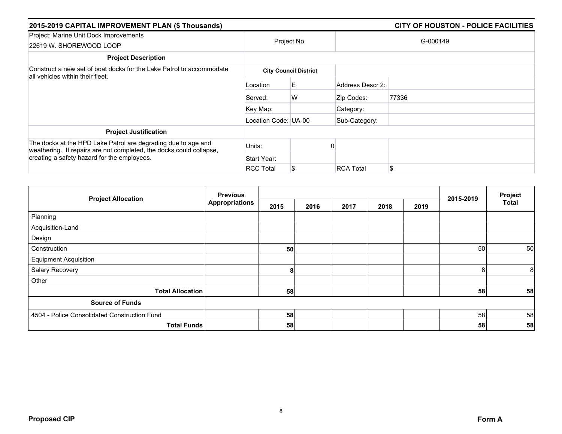| 2015-2019 CAPITAL IMPROVEMENT PLAN (\$ Thousands)                                                                                    |                      |                              |                  | CITY OF HOUSTON - POLICE FACILITIES |
|--------------------------------------------------------------------------------------------------------------------------------------|----------------------|------------------------------|------------------|-------------------------------------|
| Project: Marine Unit Dock Improvements<br>22619 W. SHOREWOOD LOOP                                                                    |                      | Project No.                  |                  | G-000149                            |
| <b>Project Description</b>                                                                                                           |                      |                              |                  |                                     |
| Construct a new set of boat docks for the Lake Patrol to accommodate<br>all vehicles within their fleet.                             |                      | <b>City Council District</b> |                  |                                     |
|                                                                                                                                      | Location             | E.                           | Address Descr 2: |                                     |
|                                                                                                                                      | Served:              | W                            | Zip Codes:       | 77336                               |
|                                                                                                                                      | Key Map:             |                              | Category:        |                                     |
|                                                                                                                                      | Location Code: UA-00 |                              | Sub-Category:    |                                     |
| <b>Project Justification</b>                                                                                                         |                      |                              |                  |                                     |
| The docks at the HPD Lake Patrol are degrading due to age and<br>weathering. If repairs are not completed, the docks could collapse, | Units:               |                              |                  |                                     |
| creating a safety hazard for the employees.                                                                                          | Start Year:          |                              |                  |                                     |
|                                                                                                                                      | <b>RCC Total</b>     | S                            | <b>RCA Total</b> | \$                                  |

| <b>Project Allocation</b>                    | <b>Previous</b><br><b>Appropriations</b> |      |      |      |      | 2015-2019 | Project |                |
|----------------------------------------------|------------------------------------------|------|------|------|------|-----------|---------|----------------|
|                                              |                                          | 2015 | 2016 | 2017 | 2018 | 2019      |         | Total          |
| Planning                                     |                                          |      |      |      |      |           |         |                |
| Acquisition-Land                             |                                          |      |      |      |      |           |         |                |
| Design                                       |                                          |      |      |      |      |           |         |                |
| Construction                                 |                                          | 50   |      |      |      |           | 50      | 50             |
| <b>Equipment Acquisition</b>                 |                                          |      |      |      |      |           |         |                |
| Salary Recovery                              |                                          | 8    |      |      |      |           | 8       | 8 <sup>1</sup> |
| Other                                        |                                          |      |      |      |      |           |         |                |
| <b>Total Allocation</b>                      |                                          | 58   |      |      |      |           | 58      | 58             |
| <b>Source of Funds</b>                       |                                          |      |      |      |      |           |         |                |
| 4504 - Police Consolidated Construction Fund |                                          | 58   |      |      |      |           | 58      | 58             |
| <b>Total Funds</b>                           |                                          | 58   |      |      |      |           | 58      | 58             |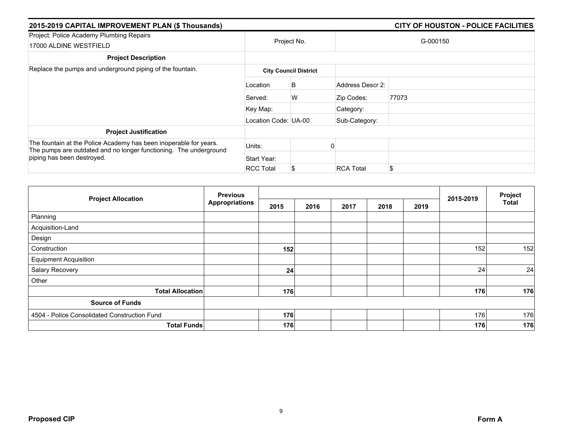| 2015-2019 CAPITAL IMPROVEMENT PLAN (\$ Thousands)                                                                                                                    |                      |                              | <b>CITY OF HOUSTON - POLICE FACILITIES</b> |          |  |  |  |
|----------------------------------------------------------------------------------------------------------------------------------------------------------------------|----------------------|------------------------------|--------------------------------------------|----------|--|--|--|
| Project: Police Academy Plumbing Repairs<br>17000 ALDINE WESTFIELD                                                                                                   | Project No.          |                              |                                            | G-000150 |  |  |  |
| <b>Project Description</b>                                                                                                                                           |                      |                              |                                            |          |  |  |  |
| Replace the pumps and underground piping of the fountain.                                                                                                            |                      | <b>City Council District</b> |                                            |          |  |  |  |
|                                                                                                                                                                      | Location             | B                            | Address Descr 2:                           |          |  |  |  |
|                                                                                                                                                                      | Served:              | W                            | Zip Codes:                                 | 77073    |  |  |  |
|                                                                                                                                                                      | Key Map:             |                              | Category:                                  |          |  |  |  |
|                                                                                                                                                                      | Location Code: UA-00 |                              | Sub-Category:                              |          |  |  |  |
| <b>Project Justification</b>                                                                                                                                         |                      |                              |                                            |          |  |  |  |
| The fountain at the Police Academy has been inoperable for years.<br>The pumps are outdated and no longer functioning. The underground<br>piping has been destroyed. | Units:               |                              |                                            |          |  |  |  |
|                                                                                                                                                                      | Start Year:          |                              |                                            |          |  |  |  |
|                                                                                                                                                                      | <b>RCC Total</b>     | S                            | <b>RCA Total</b>                           | \$       |  |  |  |

| <b>Project Allocation</b>                    | <b>Previous</b><br><b>Appropriations</b> |      |      |      | 2015-2019 | Project |     |              |
|----------------------------------------------|------------------------------------------|------|------|------|-----------|---------|-----|--------------|
|                                              |                                          | 2015 | 2016 | 2017 | 2018      | 2019    |     | <b>Total</b> |
| Planning                                     |                                          |      |      |      |           |         |     |              |
| Acquisition-Land                             |                                          |      |      |      |           |         |     |              |
| Design                                       |                                          |      |      |      |           |         |     |              |
| Construction                                 |                                          | 152  |      |      |           |         | 152 | 152          |
| <b>Equipment Acquisition</b>                 |                                          |      |      |      |           |         |     |              |
| Salary Recovery                              |                                          | 24   |      |      |           |         | 24  | 24           |
| Other                                        |                                          |      |      |      |           |         |     |              |
| <b>Total Allocation</b>                      |                                          | 176  |      |      |           |         | 176 | 176          |
| <b>Source of Funds</b>                       |                                          |      |      |      |           |         |     |              |
| 4504 - Police Consolidated Construction Fund |                                          | 176  |      |      |           |         | 176 | 176          |
| <b>Total Funds</b>                           |                                          | 176  |      |      |           |         | 176 | 176          |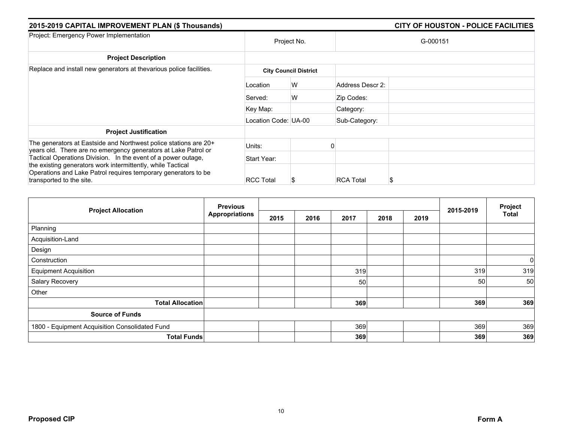| 2015-2019 CAPITAL IMPROVEMENT PLAN (\$ Thousands)                                                                                                                                                                          | CITY OF HOUSTON - POLICE FACILITIES |                              |                  |          |
|----------------------------------------------------------------------------------------------------------------------------------------------------------------------------------------------------------------------------|-------------------------------------|------------------------------|------------------|----------|
| Project: Emergency Power Implementation                                                                                                                                                                                    |                                     | Project No.                  |                  | G-000151 |
| <b>Project Description</b>                                                                                                                                                                                                 |                                     |                              |                  |          |
| Replace and install new generators at thevarious police facilities.                                                                                                                                                        |                                     | <b>City Council District</b> |                  |          |
|                                                                                                                                                                                                                            | Location                            | W                            | Address Descr 2: |          |
|                                                                                                                                                                                                                            | Served:                             | W                            | Zip Codes:       |          |
|                                                                                                                                                                                                                            | Key Map:                            |                              | Category:        |          |
|                                                                                                                                                                                                                            | Location Code: UA-00                |                              | Sub-Category:    |          |
| <b>Project Justification</b>                                                                                                                                                                                               |                                     |                              |                  |          |
| The generators at Eastside and Northwest police stations are 20+<br>years old. There are no emergency generators at Lake Patrol or                                                                                         | Units:                              |                              |                  |          |
| Tactical Operations Division. In the event of a power outage,<br>the existing generators work intermittently, while Tactical<br>Operations and Lake Patrol requires temporary generators to be<br>transported to the site. | Start Year:                         |                              |                  |          |
|                                                                                                                                                                                                                            | <b>RCC Total</b>                    |                              | <b>RCA Total</b> | \$       |

|                                                | <b>Previous</b>       |      | 2015-2019 | Project |      |      |     |              |
|------------------------------------------------|-----------------------|------|-----------|---------|------|------|-----|--------------|
| <b>Project Allocation</b>                      | <b>Appropriations</b> | 2015 | 2016      | 2017    | 2018 | 2019 |     | <b>Total</b> |
| Planning                                       |                       |      |           |         |      |      |     |              |
| Acquisition-Land                               |                       |      |           |         |      |      |     |              |
| Design                                         |                       |      |           |         |      |      |     |              |
| Construction                                   |                       |      |           |         |      |      |     | $\mathbf 0$  |
| <b>Equipment Acquisition</b>                   |                       |      |           | 319     |      |      | 319 | 319          |
| Salary Recovery                                |                       |      |           | 50      |      |      | 50  | 50           |
| Other                                          |                       |      |           |         |      |      |     |              |
| <b>Total Allocation</b>                        |                       |      |           | 369     |      |      | 369 | 369          |
| <b>Source of Funds</b>                         |                       |      |           |         |      |      |     |              |
| 1800 - Equipment Acquisition Consolidated Fund |                       |      |           | 369     |      |      | 369 | 369          |
| <b>Total Funds</b>                             |                       |      |           | 369     |      |      | 369 | 369          |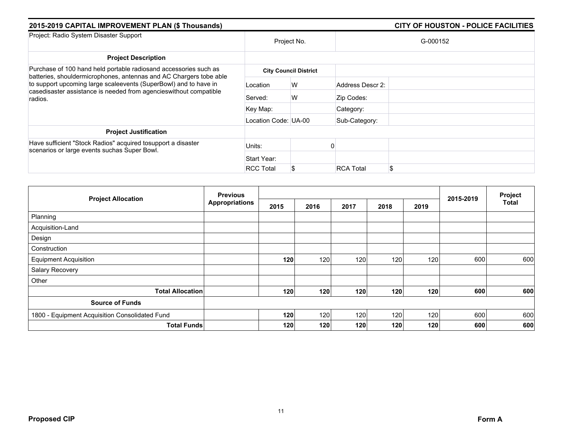| 2015-2019 CAPITAL IMPROVEMENT PLAN (\$ Thousands)                                                                                                 |                      |                              |                  | <b>CITY OF HOUSTON - POLICE FACILITIES</b> |
|---------------------------------------------------------------------------------------------------------------------------------------------------|----------------------|------------------------------|------------------|--------------------------------------------|
| Project: Radio System Disaster Support                                                                                                            |                      | Project No.                  |                  | G-000152                                   |
| <b>Project Description</b>                                                                                                                        |                      |                              |                  |                                            |
| Purchase of 100 hand held portable radiosand accessories such as<br>batteries, shouldermicrophones, antennas and AC Chargers tobe able            |                      | <b>City Council District</b> |                  |                                            |
| to support upcoming large scaleevents (SuperBowl) and to have in<br>casedisaster assistance is needed from agencies without compatible<br>radios. | Location             | W                            | Address Descr 2: |                                            |
|                                                                                                                                                   | Served:              | W                            | Zip Codes:       |                                            |
|                                                                                                                                                   | Key Map:             |                              | Category:        |                                            |
|                                                                                                                                                   | Location Code: UA-00 |                              | Sub-Category:    |                                            |
| <b>Project Justification</b>                                                                                                                      |                      |                              |                  |                                            |
| Have sufficient "Stock Radios" acquired tosupport a disaster<br>scenarios or large events suchas Super Bowl.                                      | Units:               |                              |                  |                                            |
|                                                                                                                                                   | Start Year:          |                              |                  |                                            |
|                                                                                                                                                   | <b>RCC Total</b>     | \$                           | <b>RCA Total</b> | \$.                                        |

|                                                | <b>Previous</b><br><b>Appropriations</b> |      |      |      | 2015-2019 | Project |     |              |
|------------------------------------------------|------------------------------------------|------|------|------|-----------|---------|-----|--------------|
| <b>Project Allocation</b>                      |                                          | 2015 | 2016 | 2017 | 2018      | 2019    |     | <b>Total</b> |
| Planning                                       |                                          |      |      |      |           |         |     |              |
| Acquisition-Land                               |                                          |      |      |      |           |         |     |              |
| Design                                         |                                          |      |      |      |           |         |     |              |
| Construction                                   |                                          |      |      |      |           |         |     |              |
| <b>Equipment Acquisition</b>                   |                                          | 120  | 120  | 120  | 120       | 120     | 600 | 600          |
| Salary Recovery                                |                                          |      |      |      |           |         |     |              |
| Other                                          |                                          |      |      |      |           |         |     |              |
| <b>Total Allocation</b>                        |                                          | 120  | 120  | 120  | 120       | 120     | 600 | 600          |
| <b>Source of Funds</b>                         |                                          |      |      |      |           |         |     |              |
| 1800 - Equipment Acquisition Consolidated Fund |                                          | 120  | 120  | 120  | 120       | 120     | 600 | 600          |
| <b>Total Funds</b>                             |                                          | 120  | 120  | 120  | 120       | 120     | 600 | 600          |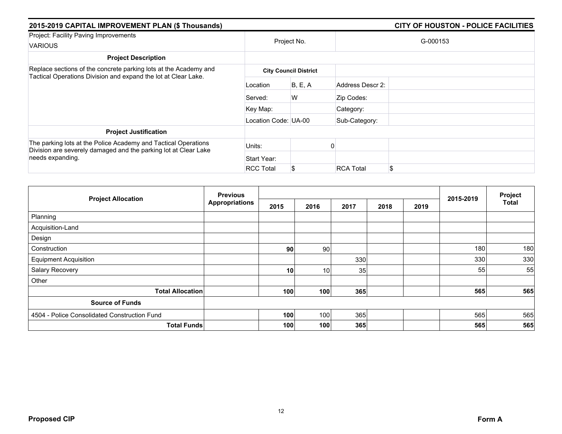| 2015-2019 CAPITAL IMPROVEMENT PLAN (\$ Thousands)                                                                                  | <b>CITY OF HOUSTON - POLICE FACILITIES</b> |                              |                  |          |  |
|------------------------------------------------------------------------------------------------------------------------------------|--------------------------------------------|------------------------------|------------------|----------|--|
| Project: Facility Paving Improvements<br><b>VARIOUS</b>                                                                            |                                            | Project No.                  |                  | G-000153 |  |
| <b>Project Description</b>                                                                                                         |                                            |                              |                  |          |  |
| Replace sections of the concrete parking lots at the Academy and<br>Tactical Operations Division and expand the lot at Clear Lake. |                                            | <b>City Council District</b> |                  |          |  |
|                                                                                                                                    | Location                                   | B, E, A                      | Address Descr 2: |          |  |
|                                                                                                                                    | Served:                                    | W                            | Zip Codes:       |          |  |
|                                                                                                                                    | Key Map:                                   |                              | Category:        |          |  |
|                                                                                                                                    | Location Code: UA-00                       |                              | Sub-Category:    |          |  |
| <b>Project Justification</b>                                                                                                       |                                            |                              |                  |          |  |
| The parking lots at the Police Academy and Tactical Operations<br>Division are severely damaged and the parking lot at Clear Lake  | Units:                                     |                              |                  |          |  |
| needs expanding.                                                                                                                   | Start Year:                                |                              |                  |          |  |
|                                                                                                                                    | <b>RCC Total</b>                           | S.                           | <b>RCA Total</b> | \$       |  |

| <b>Project Allocation</b>                    | <b>Previous</b><br><b>Appropriations</b> |                 |      |      |      | 2015-2019 | Project |       |
|----------------------------------------------|------------------------------------------|-----------------|------|------|------|-----------|---------|-------|
|                                              |                                          | 2015            | 2016 | 2017 | 2018 | 2019      |         | Total |
| Planning                                     |                                          |                 |      |      |      |           |         |       |
| Acquisition-Land                             |                                          |                 |      |      |      |           |         |       |
| Design                                       |                                          |                 |      |      |      |           |         |       |
| Construction                                 |                                          | 90              | 90   |      |      |           | 180     | 180   |
| <b>Equipment Acquisition</b>                 |                                          |                 |      | 330  |      |           | 330     | 330   |
| Salary Recovery                              |                                          | 10 <sup>1</sup> | 10   | 35   |      |           | 55      | 55    |
| Other                                        |                                          |                 |      |      |      |           |         |       |
| <b>Total Allocation</b>                      |                                          | 100             | 100  | 365  |      |           | 565     | 565   |
| <b>Source of Funds</b>                       |                                          |                 |      |      |      |           |         |       |
| 4504 - Police Consolidated Construction Fund |                                          | 100             | 100  | 365  |      |           | 565     | 565   |
| <b>Total Funds</b>                           |                                          | 100             | 100  | 365  |      |           | 565     | 565   |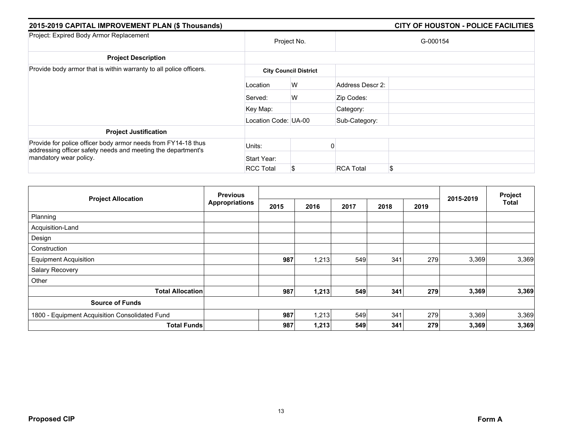| 2015-2019 CAPITAL IMPROVEMENT PLAN (\$ Thousands)                                                                                                       | <b>CITY OF HOUSTON - POLICE FACILITIES</b> |                              |                  |          |
|---------------------------------------------------------------------------------------------------------------------------------------------------------|--------------------------------------------|------------------------------|------------------|----------|
| Project: Expired Body Armor Replacement                                                                                                                 | Project No.                                |                              |                  | G-000154 |
| <b>Project Description</b>                                                                                                                              |                                            |                              |                  |          |
| Provide body armor that is within warranty to all police officers.                                                                                      |                                            | <b>City Council District</b> |                  |          |
|                                                                                                                                                         | Location                                   | W                            | Address Descr 2: |          |
|                                                                                                                                                         | Served:                                    | W                            | Zip Codes:       |          |
|                                                                                                                                                         | Key Map:                                   |                              | Category:        |          |
|                                                                                                                                                         | Location Code: UA-00                       |                              | Sub-Category:    |          |
| <b>Project Justification</b>                                                                                                                            |                                            |                              |                  |          |
| Provide for police officer body armor needs from FY14-18 thus<br>addressing officer safety needs and meeting the department's<br>mandatory wear policy. | Units:                                     |                              |                  |          |
|                                                                                                                                                         | Start Year:                                |                              |                  |          |
|                                                                                                                                                         | <b>RCC Total</b>                           | S                            | <b>RCA Total</b> | \$       |

| <b>Project Allocation</b>                      | <b>Previous</b><br><b>Appropriations</b> |      |       |      | Project |      |           |              |
|------------------------------------------------|------------------------------------------|------|-------|------|---------|------|-----------|--------------|
|                                                |                                          | 2015 | 2016  | 2017 | 2018    | 2019 | 2015-2019 | <b>Total</b> |
| Planning                                       |                                          |      |       |      |         |      |           |              |
| Acquisition-Land                               |                                          |      |       |      |         |      |           |              |
| Design                                         |                                          |      |       |      |         |      |           |              |
| Construction                                   |                                          |      |       |      |         |      |           |              |
| <b>Equipment Acquisition</b>                   |                                          | 987  | 1,213 | 549  | 341     | 279  | 3,369     | 3,369        |
| Salary Recovery                                |                                          |      |       |      |         |      |           |              |
| Other                                          |                                          |      |       |      |         |      |           |              |
| <b>Total Allocation</b>                        |                                          | 987  | 1,213 | 549  | 341     | 279  | 3,369     | 3,369        |
| <b>Source of Funds</b>                         |                                          |      |       |      |         |      |           |              |
| 1800 - Equipment Acquisition Consolidated Fund |                                          | 987  | 1,213 | 549  | 341     | 279  | 3,369     | 3,369        |
| <b>Total Funds</b>                             |                                          | 987  | 1,213 | 549  | 341     | 279  | 3,369     | 3,369        |